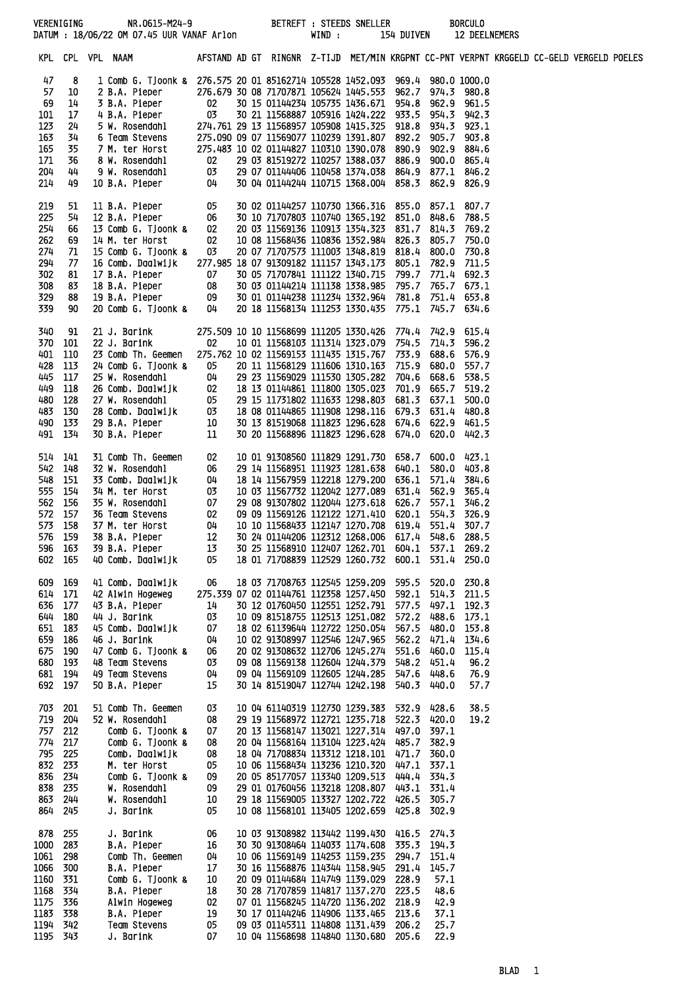|              |                |                                                                                                                                                                                                                                                     |                                        |                                                                                                |  |                | 154 DUIVEN 12 DEELNEMERS | <b>BORCULO</b>       |  |  |
|--------------|----------------|-----------------------------------------------------------------------------------------------------------------------------------------------------------------------------------------------------------------------------------------------------|----------------------------------------|------------------------------------------------------------------------------------------------|--|----------------|--------------------------|----------------------|--|--|
|              |                | KPL CPL VPL NAAM           AFSTAND AD GT RINGNR Z-TIJD MET/MIN KRGPNT CC-PNT VERPNT KRGGELD CC-GELD VERGELD POELES                                                                                                                                  |                                        |                                                                                                |  |                |                          |                      |  |  |
| 47           | 8              | 1 Comb G. Tjoonk & 276.575 20 01 85162714 105528 1452.093 969.4 980.0 1000.0                                                                                                                                                                        |                                        |                                                                                                |  |                |                          |                      |  |  |
| 57           | 10             |                                                                                                                                                                                                                                                     |                                        |                                                                                                |  |                |                          |                      |  |  |
| 69<br>101    | 14<br>17       |                                                                                                                                                                                                                                                     |                                        |                                                                                                |  |                |                          |                      |  |  |
| 123          | 24             |                                                                                                                                                                                                                                                     |                                        |                                                                                                |  |                |                          |                      |  |  |
| 163          | 34             |                                                                                                                                                                                                                                                     |                                        |                                                                                                |  |                |                          |                      |  |  |
| 165          | 35             |                                                                                                                                                                                                                                                     |                                        |                                                                                                |  |                |                          |                      |  |  |
| 171<br>204   | 36<br>44       |                                                                                                                                                                                                                                                     |                                        |                                                                                                |  |                |                          |                      |  |  |
| 214          | 49             | 2 B.A. Pieper<br>2 B.A. Pieper<br>276.679 30 08 71707871 105624 1445.553 962.7 974.3 980.8<br>3 B.A. Pieper<br>02 30 15 01144234 105735 1436.671 954.8 962.9 961.5<br>4 B.A. Pieper<br>03 30 21 11568887 105916 1424.222 933.5 954.3 942.3          |                                        |                                                                                                |  |                |                          |                      |  |  |
| 219          | 51             | 11 B.A. Pieper<br>12 B.A. Pieper 06<br>13 Comb G. Tjoonk & 02<br>14 M. ter Horst 02<br>15 Comb G. Tjoonk & 03                                                                                                                                       |                                        | 30 02 01144257 110730 1366.316 855.0 857.1 807.7                                               |  |                |                          |                      |  |  |
| 225<br>254   | 54<br>66       |                                                                                                                                                                                                                                                     |                                        | 30 10 71707803 110740 1365.192 851.0 848.6<br>20 03 11569136 110913 1354.323 831.7 814.3 769.2 |  |                |                          | 788.5                |  |  |
| 262          | 69             |                                                                                                                                                                                                                                                     |                                        | 10 08 11568436 110836 1352.984 826.3 805.7 750.0                                               |  |                |                          |                      |  |  |
| 274          | 71             |                                                                                                                                                                                                                                                     |                                        | 20 07 71707573 111003 1348.819 818.4 800.0 730.8                                               |  |                |                          |                      |  |  |
| 294          | 77             | 16 Comb. Daalwijk 277.985 18 07 91309182 111157 1343.173 805.1 782.9 711.5                                                                                                                                                                          |                                        |                                                                                                |  |                |                          |                      |  |  |
| 302<br>308   | 81<br>83       |                                                                                                                                                                                                                                                     |                                        |                                                                                                |  |                |                          |                      |  |  |
| 329          | 88             |                                                                                                                                                                                                                                                     |                                        |                                                                                                |  |                |                          |                      |  |  |
| 339          | 90             | 17 B.A. Pieper<br>18 B.A. Pieper<br>18 B.A. Pieper<br>18 B.A. Pieper<br>18 B.A. Pieper<br>19 B.A. Pieper<br>19 B.A. Pieper<br>19 B.A. Pieper<br>19 30 03 01144214 111138 1338.985<br>195.7 795.7 765.7 673.1<br>19 B.A. Pieper<br>19 30 01 01144238 |                                        |                                                                                                |  |                |                          |                      |  |  |
| 340<br>370   | -91<br>- 101   |                                                                                                                                                                                                                                                     |                                        |                                                                                                |  |                |                          |                      |  |  |
| 401          | 110            | 23 Comb Th. Geemen 275.762 10 02 11569153 111435 1315.767 733.9 688.6                                                                                                                                                                               |                                        |                                                                                                |  |                |                          | 576.9                |  |  |
| 428          | 113            |                                                                                                                                                                                                                                                     |                                        |                                                                                                |  |                |                          |                      |  |  |
|              | 445 117        |                                                                                                                                                                                                                                                     |                                        |                                                                                                |  |                |                          |                      |  |  |
| 449          | 118            |                                                                                                                                                                                                                                                     |                                        |                                                                                                |  |                |                          |                      |  |  |
| 480          | 128<br>483 130 |                                                                                                                                                                                                                                                     |                                        |                                                                                                |  |                |                          |                      |  |  |
|              | 490 133        |                                                                                                                                                                                                                                                     |                                        |                                                                                                |  |                |                          |                      |  |  |
|              | 491 134        | 24 Comb 6. Tjoonk & 05 20 11 1568129 111567 1210.163 715.9 680.0 557.7<br>25 W. Rosendahl 04 29 23 11569129 111570 1305.282 704.6 668.6 538.5<br>26 Comb. Daalwijk 02 18 13 01144861 111800 1305.023 701.9 665.6 538.5<br>27 W. Rosenda             |                                        |                                                                                                |  |                |                          |                      |  |  |
|              | 514 141        | 31 Comb Th. Geemen                                                                                                                                                                                                                                  | 02                                     | 10 01 91308560 111829 1291.730 658.7 600.0 423.1                                               |  |                |                          |                      |  |  |
| 542<br>548   | 148            |                                                                                                                                                                                                                                                     |                                        | 29 14 11568951 111923 1281.638 640.1                                                           |  |                | 580.0                    | 403.8                |  |  |
| 555          | 151<br>154     | 31 Common Time Gemein<br>32 W. Rosendahl 06<br>33 Comb. Daalwijk 04<br>34 M. ter Horst 03<br>35 W. Rosendahl 07<br>36 Team Stevens 02<br>37 M. ter Horst 04<br>38 B.A. Pieper 12                                                                    |                                        | 18 14 11567959 112218 1279.200 636.1<br>10 03 11567732 112042 1277.089 631.4                   |  |                | 562.9                    | 571.4 384.6<br>365.4 |  |  |
| 562          | 156            |                                                                                                                                                                                                                                                     |                                        | 29 08 91307802 112044 1273.618 626.7                                                           |  |                |                          | 557.1 346.2          |  |  |
| 572          | 157            |                                                                                                                                                                                                                                                     |                                        | 09 09 11569126 112122 1271.410 620.1                                                           |  |                |                          | 554.3 326.9          |  |  |
| 573          | 158            |                                                                                                                                                                                                                                                     |                                        | 10 10 11568433 112147 1270.708 619.4 551.4 307.7                                               |  |                |                          |                      |  |  |
| 576          | 159<br>596 163 | 38 B.A. Pieper<br>39 B.A. Pieper                                                                                                                                                                                                                    | 12<br>13                               | 30 24 01144206 112312 1268.006 617.4<br>30 25 11568910 112407 1262.701 604.1 537.1 269.2       |  |                |                          | 548.6 288.5          |  |  |
|              | 602 165        | 40 Comb. Daalwijk                                                                                                                                                                                                                                   | 05                                     | 18 01 71708839 112529 1260 732                                                                 |  | 600.1          |                          | 531.4 250.0          |  |  |
| 609          | 169            | 41 Comb. Daalwijk                                                                                                                                                                                                                                   | 06                                     | 18 03 71708763 112545 1259.209                                                                 |  | 595.5          | 520.0                    | 230.8                |  |  |
| 614          | 171            | 42 Alwin Hogeweg                                                                                                                                                                                                                                    | 275.339 07 02 01144761 112358 1257.450 |                                                                                                |  | 592.1          | 514.3                    | 211.5                |  |  |
| 636<br>644   | 177            | 43 B.A. Pieper<br>44 J. Barink                                                                                                                                                                                                                      | 14<br>03                               | 30 12 01760450 112551 1252.791<br>10 09 81518755 112513 1251.082                               |  | 577.5<br>572.2 | 497.1<br>488.6           | 192.3                |  |  |
| 651          | 180<br>183     | 45 Comb. Daalwijk                                                                                                                                                                                                                                   | 07                                     | 18 02 61139644 112722 1250.054                                                                 |  | 567.5          | 480.0                    | 173.1<br>153.8       |  |  |
| 659          | 186            | 46 J. Barink                                                                                                                                                                                                                                        | 04                                     | 10 02 91308997 112546 1247.965                                                                 |  | 562.2          | 471.4                    | 134.6                |  |  |
| 675          | 190            | 47 Comb G. Tjoonk &                                                                                                                                                                                                                                 | 06                                     | 20 02 91308632 112706 1245,274                                                                 |  | 551.6          | 460.0                    | 115.4                |  |  |
| 680          | 193<br>681 194 | 48 Team Stevens                                                                                                                                                                                                                                     | 03<br>04                               | 09 08 11569138 112604 1244.379                                                                 |  | 548.2<br>547.6 | 451.4<br>448.6           | 96.2                 |  |  |
|              | 692 197        | 49 Team Stevens<br>50 B.A. Pieper                                                                                                                                                                                                                   | 15                                     | 09 04 11569109 112605 1244.285<br>30 14 81519047 112744 1242.198                               |  | 540.3          | 440.0                    | 76.9<br>57.7         |  |  |
| 703          | 201            | 51 Comb Th. Geemen                                                                                                                                                                                                                                  | 03                                     | 10 04 61140319 112730 1239.383                                                                 |  | 532.9          | 428.6                    | 38.5                 |  |  |
| 719          | 204            | 52 W. Rosendahl                                                                                                                                                                                                                                     | 08                                     | 29 19 11568972 112721 1235.718                                                                 |  | 522.3          | 420.0                    | 19.2                 |  |  |
| 757<br>774   | 212<br>217     | Comb G. Tjoonk &<br>Comb G. Tjoonk &                                                                                                                                                                                                                | 07<br>08                               | 20 13 11568147 113021 1227.314<br>20 04 11568164 113104 1223.424                               |  | 497.0<br>485.7 | 397.1<br>382.9           |                      |  |  |
| 795          | 225            | Comb. Daalwijk                                                                                                                                                                                                                                      | 08                                     | 18 04 71708834 113312 1218.101                                                                 |  | 471.7          | 360.0                    |                      |  |  |
| 832          | 233            | M. ter Horst                                                                                                                                                                                                                                        | 05                                     | 10 06 11568434 113236 1210.320                                                                 |  | 447.1          | -337.1                   |                      |  |  |
| 836          | 234            | Comb G. Tjoonk &                                                                                                                                                                                                                                    | 09                                     | 20 05 85177057 113340 1209.513                                                                 |  | 444.4          | 334.3                    |                      |  |  |
| 838<br>863   | 235<br>244     | W. Rosendahl<br>W. Rosendahl                                                                                                                                                                                                                        | 09<br>10                               | 29 01 01760456 113218 1208.807 443.1 331.4<br>29 18 11569005 113327 1202.722 426.5 305.7       |  |                |                          |                      |  |  |
| 864          | 245            | J. Barink                                                                                                                                                                                                                                           | 05                                     | 10 08 11568101 113405 1202.659                                                                 |  | 425.8          | 302.9                    |                      |  |  |
| 878          | 255            | J. Barink                                                                                                                                                                                                                                           | 06                                     | 10 03 91308982 113442 1199.430                                                                 |  | 416.5          | 274.3                    |                      |  |  |
| 1000<br>1061 | 283<br>298     | B.A. Pieper<br>Comb Th. Geemen                                                                                                                                                                                                                      | 16<br>04                               | 30 30 91308464 114033 1174.608<br>10 06 11569149 114253 1159.235                               |  | 335.3<br>294.7 | 194.3<br>151.4           |                      |  |  |
| 1066         | 300            | B.A. Pieper                                                                                                                                                                                                                                         | 17                                     | 30 16 11568876 114344 1158.945                                                                 |  | 291.4          | 145.7                    |                      |  |  |
| 1160         | 331            | Comb G. Tjoonk &                                                                                                                                                                                                                                    | 10                                     | 20 09 01144684 114749 1139.029                                                                 |  | 228.9          | 57.1                     |                      |  |  |
| 1168         | 334            | B.A. Pieper                                                                                                                                                                                                                                         | 18                                     | 30 28 71707859 114817 1137.270                                                                 |  | 223.5          | 48.6                     |                      |  |  |
| 1175<br>1183 | 336<br>338     | Alwin Hogeweg                                                                                                                                                                                                                                       | 02<br>19                               | 07 01 11568245 114720 1136.202                                                                 |  | 218.9<br>213.6 | 42.9<br>37.1             |                      |  |  |
| 1194         | 342            | B.A. Pieper<br>Team Stevens                                                                                                                                                                                                                         | 05                                     | 30 17 01144246 114906 1133.465<br>09 03 01145311 114808 1131.439                               |  | 206.2          | 25.7                     |                      |  |  |
| 1195         | 343            | J. Barink                                                                                                                                                                                                                                           | 07                                     | 10 04 11568698 114840 1130.680                                                                 |  | 205.6          | 22.9                     |                      |  |  |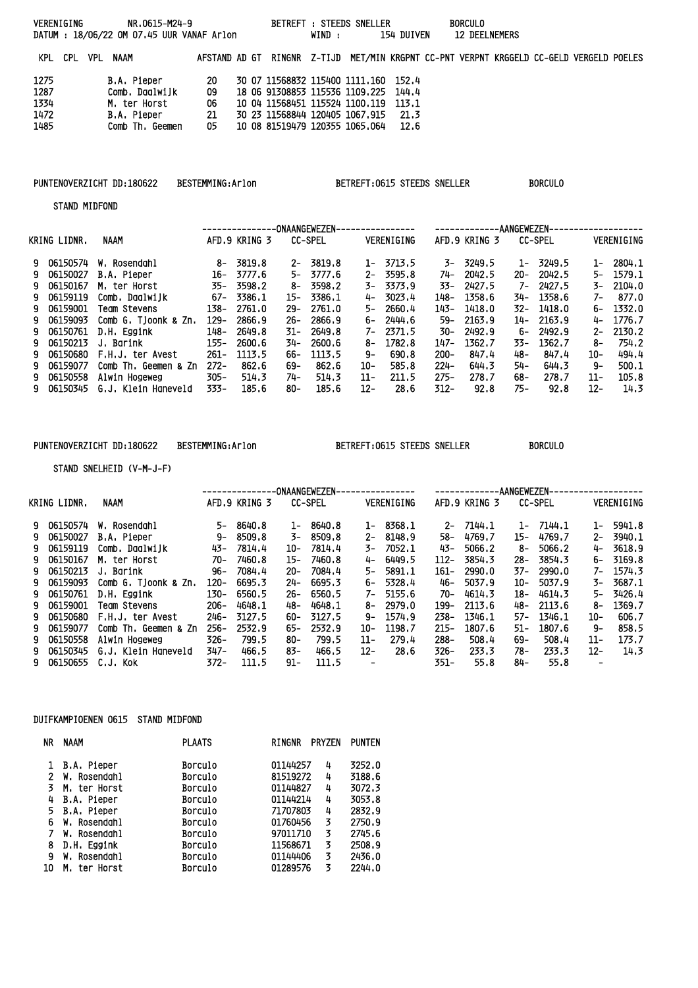| VERENIGING   |  |                  | NR.0615-M24-9<br>DATUM: 18/06/22 OM 07.45 UUR VANAF Arlon |           |  |                                                                                         | WIND : | BETREFT: STEEDS SNELLER | 154 DUIVEN | <b>BORCULO</b><br><b>12 DEELNEMERS</b> |  |  |
|--------------|--|------------------|-----------------------------------------------------------|-----------|--|-----------------------------------------------------------------------------------------|--------|-------------------------|------------|----------------------------------------|--|--|
|              |  | KPL CPL VPL NAAM |                                                           |           |  | AFSTAND AD GT RINGNR Z-TIJD MET/MIN KRGPNT CC-PNT VERPNT KRGGELD CC-GELD VERGELD POELES |        |                         |            |                                        |  |  |
| 1275<br>1287 |  |                  | B.A. Pieper<br>Comb, Daalwijk                             | -20<br>09 |  | 30 07 11568832 115400 1111,160 152,4<br>18 06 91308853 115536 1109.225 144.4            |        |                         |            |                                        |  |  |
| 1334         |  |                  | M. ter Horst                                              | 06        |  | 10 04 11568451 115524 1100.119 113.1                                                    |        |                         |            |                                        |  |  |
| 1472         |  |                  | B.A. Pieper                                               | 21        |  | 30 23 11568844 120405 1067.915                                                          |        |                         | -21.3      |                                        |  |  |
| 1485         |  |                  | Comb Th. Geemen                                           | 05        |  | 10 08 81519479 120355 1065,064 12,6                                                     |        |                         |            |                                        |  |  |

# PUNTENOVERZICHT DD:180622 BESTEMMING:Arlon BETREFT:0615 STEEDS SNELLER BORCULO

STAND MIDFOND

|              |                      |         |               |        | -ONAANGEWEZEN- |       | ------------- |         | ----------    | -AANGEWEZEN- |                |        |            |
|--------------|----------------------|---------|---------------|--------|----------------|-------|---------------|---------|---------------|--------------|----------------|--------|------------|
| KRING LIDNR. | NAAM                 |         | AFD.9 KRING 3 |        | <b>CC-SPEL</b> |       | VERENIGING    |         | AFD.9 KRING 3 |              | <b>CC-SPEL</b> |        | VERENIGING |
| 9 06150574   | W. Rosendahl         | 8-      | 3819.8        | $2-$   | 3819.8         | $1 -$ | 3713.5        |         | $3 - 3249.5$  | 1-           | 3249.5         | $1 -$  | 2804.1     |
| 9 06150027   | B.A. Pieper          | 16-     | 3777.6        | 5–     | 3777.6         | $2-$  | 3595.8        | 74-     | 2042.5        | $20 -$       | 2042.5         | 5–     | 1579.1     |
| 9 06150167   | M. ter Horst         | 35-     | 3598.2        | 8-     | 3598.2         | 3–    | 3373.9        | 33–     | 2427.5        |              | 7- 2427.5      | 3–     | 2104.0     |
| 9 06159119   | Comb, Daalwiik       | 67-     | 3386.1        | 15-    | 3386.1         | 4-    | 3023.4        | 148-    | 1358.6        | 34-          | 1358.6         | 7–     | 877.0      |
| 9 06159001   | Team Stevens         | 138-    | 2761.0        | $29-$  | 2761.0         | 5-    | 2660.4        | 143-    | 1418.0        | 32-          | 1418.0         | 6-     | 1332.0     |
| 9 06159093   | Comb G. Tjoonk & Zn. | $129 -$ | 2866.9        | $26 -$ | 2866.9         | 6-    | 2444.6        | 59-     | 2163.9        | 14-          | 2163.9         | 4-     | 1776.7     |
| 9 06150761   | D.H. Eggink          | 148-    | 2649.8        | 31-    | 2649.8         |       | 7- 2371.5     | 30-     | 2492.9        | 6-           | 2492.9         | 2-     | 2130.2     |
| 9 06150213   | J. Barink            | $155 -$ | 2600.6        | 34-    | 2600.6         | 8–    | 1782.8        | 147-    | 1362.7        | 33–          | 1362.7         | 8–     | 754.2      |
| 9 06150680   | F.H.J. ter Avest     | $261 -$ | 1113.5        | 66-    | 1113.5         | Գ–    | 690.8         | $200 -$ | 847.4         | 48-          | 847.4          | 10-    | 494.4      |
| 9 06159077   | Comb Th, Geemen & Zn | $272 -$ | 862.6         | 69-    | 862.6          | 10-   | 585.8         | $224 -$ | 644.3         | 54-          | 644.3          | 9-     | 500.1      |
| 9 06150558   | Alwin Hogeweg        | $305 -$ | 514.3         | 74-    | 514.3          | 11-   | 211.5         | $275 -$ | 278.7         | 68-          | 278.7          | $11 -$ | 105.8      |
| 9 06150345   | G.J. Klein Haneveld  | 333-    | 185.6         | 80-    | 185.6          | 12-   | 28.6          | $312 -$ | 92.8          | 75–          | 92.8           | 12-    | 14.3       |
|              |                      |         |               |        |                |       |               |         |               |              |                |        |            |

# PUNTENOVERZICHT DD:180622 BESTEMMING:Arlon BETREFT:0615 STEEDS SNELLER BORCULO

STAND SNELHEID (V-M-J-F)

|    |              |                      | ONAANGEWEZEN-<br>----------- |               |        |                |                          |              |         | -AANGEWEZEN-<br>---------- |        |                |       |            |  |
|----|--------------|----------------------|------------------------------|---------------|--------|----------------|--------------------------|--------------|---------|----------------------------|--------|----------------|-------|------------|--|
|    | KRING LIDNR. | <b>NAAM</b>          |                              | AFD.9 KRING 3 |        | <b>CC-SPEL</b> |                          | VERENIGING   |         | AFD.9 KRING 3              |        | <b>CC-SPEL</b> |       | VERENIGING |  |
|    | 9 06150574   | W. Rosendahl         | 5-                           | 8640.8        | 1-     | 8640.8         | $1-$                     | 8368.1       | $2-$    | 7144.1                     |        | $1 - 7144.1$   | $1 -$ | 5941.8     |  |
|    | 9 06150027   | B.A. Pieper          | 9-                           | 8509.8        | 3-     | 8509.8         | $2 -$                    | 8148.9       | -58     | 4769.7                     | 15–    | 4769.7         | $2-$  | 3940.1     |  |
| 9. | 06159119     | Comb, Daalwijk       | 43-                          | 7814.4        | 10-    | 7814.4         | 3-                       | 7052.1       | 43–     | 5066.2                     | 8-     | 5066.2         | 4-    | 3618.9     |  |
|    | 9 06150167   | M. ter Horst         | 70-                          | 7460.8        | 15-    | 7460.8         | 4-                       | 6449.5       | 112-    | 3854.3                     | -28    | 3854.3         | 6–    | 3169.8     |  |
|    | 9 06150213   | J. Barink            | 96–                          | 7084.4        | $20 -$ | 7084.4         | 5-                       | 5891.1       | $161 -$ | 2990.0                     | 37-    | 2990.0         | 7–    | 1574.3     |  |
|    | 9 06159093   | Comb G. Tioonk & Zn. | $120 -$                      | 6695.3        | 24-    | 6695.3         | 6-                       | 5328.4       | 46–     | 5037.9                     | 10-    | 5037.9         | 3–    | 3687.1     |  |
|    | 9 06150761   | D.H. Eggink          | 130-                         | 6560.5        | 26–    | 6560.5         | 7–                       | 5155.6       | -70     | 4614.3                     | 18-    | 4614.3         | 5-    | 3426.4     |  |
|    | 9 06159001   | Team Stevens         | $206 -$                      | 4648.1        | 48-    | 4648.1         |                          | $8 - 2979.0$ | 199-    | 2113.6                     | 48-    | 2113.6         | 8–    | 1369.7     |  |
|    | 9 06150680   | F.H.J. ter Avest     | $246 -$                      | 3127.5        | 60-    | 3127.5         | 9-                       | 1574.9       | $238 -$ | 1346.1                     | 57–    | 1346.1         | 10-   | 606.7      |  |
|    | 9 06159077   | Comb Th, Geemen & Zn | $256-$                       | 2532.9        | 65-    | 2532.9         | 10-                      | 1198.7       | $215 -$ | 1807.6                     | $51 -$ | 1807.6         | 9-    | 858.5      |  |
|    | 9 06150558   | Alwin Hogeweg        | $326 -$                      | 799.5         | 80-    | 799.5          | 11-                      | 279.4        | $288 -$ | 508.4                      | 69-    | 508.4          | 11-   | 173.7      |  |
| 9. | 06150345     | G.J. Klein Haneveld  | 347-                         | 466.5         | 83-    | 466.5          | 12-                      | 28.6         | 326-    | 233.3                      | 78-    | 233.3          | 12-   | 14.3       |  |
|    | 9 06150655   | .C.J. Kok            | 372-                         | 111.5         | 91-    | 111.5          | $\overline{\phantom{0}}$ |              | 351-    | 55.8                       | 84-    | 55.8           | -     |            |  |
|    |              |                      |                              |               |        |                |                          |              |         |                            |        |                |       |            |  |

### DUIFKAMPIOENEN 0615 STAND MIDFOND

| ΝR | <b>NAAM</b>     | <b>PLAATS</b>  | RINGNR   | <b>PRYZEN</b> | <b>PUNTEN</b> |
|----|-----------------|----------------|----------|---------------|---------------|
|    | 1 B.A. Pieper   | <b>Borculo</b> | 01144257 | 4             | 3252.0        |
| 2  | W. Rosendahl    | <b>Borculo</b> | 81519272 | 4             | 3188.6        |
| 3  | M. ter Horst    | <b>Borculo</b> | 01144827 | 4             | 3072.3        |
| 4  | B.A. Pieper     | <b>Borculo</b> | 01144214 | 4             | 3053.8        |
| 5. | B.A. Pieper     | <b>Borculo</b> | 71707803 | 4             | 2832.9        |
| 6  | W. Rosendahl    | <b>Borculo</b> | 01760456 | 3             | 2750.9        |
| 7  | W. Rosendahl    | <b>Borculo</b> | 97011710 | 3             | 2745.6        |
| 8  | D.H. Eggink     | <b>Borculo</b> | 11568671 | 3             | 2508.9        |
| 9  | Rosendahl<br>W. | <b>Borculo</b> | 01144406 | 3             | 2436.0        |
| 10 | ter Horst<br>Μ. | Borculo        | 01289576 | 3             | 2244.0        |